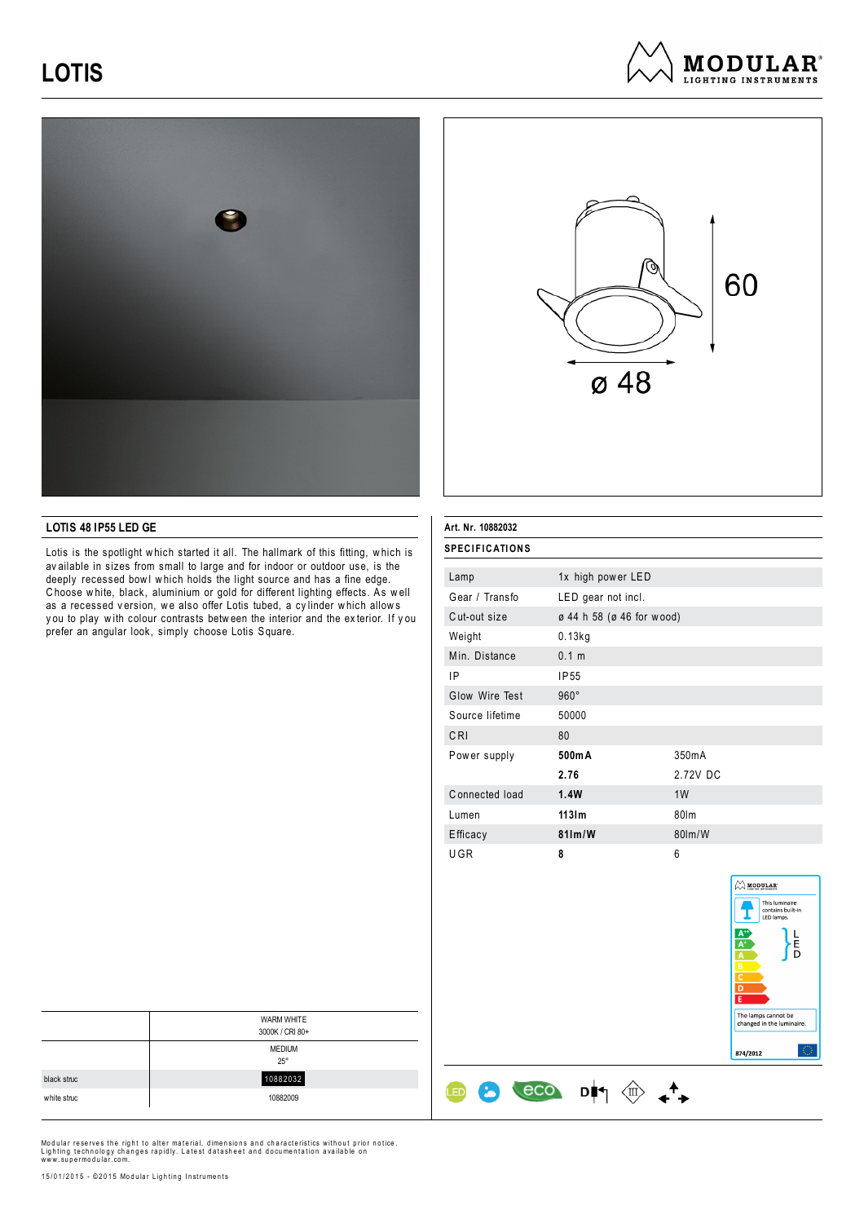





## **LOTIS 48 IP55 LED GE**

Lotis is the spotlight w hich started it all. The hallmark of this fitting, w hich is av ailable in sizes from small to large and for indoor or outdoor use, is the deeply recessed bowl which holds the light source and has a fine edge. C hoose w hite, black, aluminium or gold for different lighting effects. As w ell as a recessed version, we also offer Lotis tubed, a cylinder which allows y ou to play w ith colour contrasts betw een the interior and the ex terior. If y ou prefer an angular look, simply choose Lotis Square.

| <b>SPECIFICATIONS</b> |                           |          |
|-----------------------|---------------------------|----------|
| Lamp                  | 1x high power LED         |          |
| Gear / Transfo        | LED gear not incl.        |          |
| Cut-out size          | ø 44 h 58 (ø 46 for wood) |          |
| Weight                | $0.13$ kg                 |          |
| Min. Distance         | 0.1 m                     |          |
| IP                    | <b>IP55</b>               |          |
| Glow Wire Test        | $960^\circ$               |          |
| Source lifetime       | 50000                     |          |
| CRI                   | 80                        |          |
| Power supply          | 500mA                     | 350mA    |
|                       | 2.76                      | 2.72V DC |
| Connected load        | 1.4W                      | 1W       |
| Lumen                 | $113$ m                   | 80lm     |
| Efficacy              | $81$ lm/W                 | 80lm/W   |
| UGR                   | 8                         | 6        |

 $\cos$   $\theta$   $\Rightarrow$   $\leftrightarrow$ 

**Art. Nr. 10882032**

 $\bigoplus$ 

8



|             | <b>WARM WHITE</b><br>3000K / CRI 80+ |
|-------------|--------------------------------------|
|             | <b>MEDIUM</b><br>$25^{\circ}$        |
| black struc | 10882032                             |
| white struc | 10882009                             |

Modular reserves the right to alter material, dimensions and characteristics without prior notice.<br>Lighting technology changes rapidly. Latest datasheet and documentation available on<br>www.supermodular.com.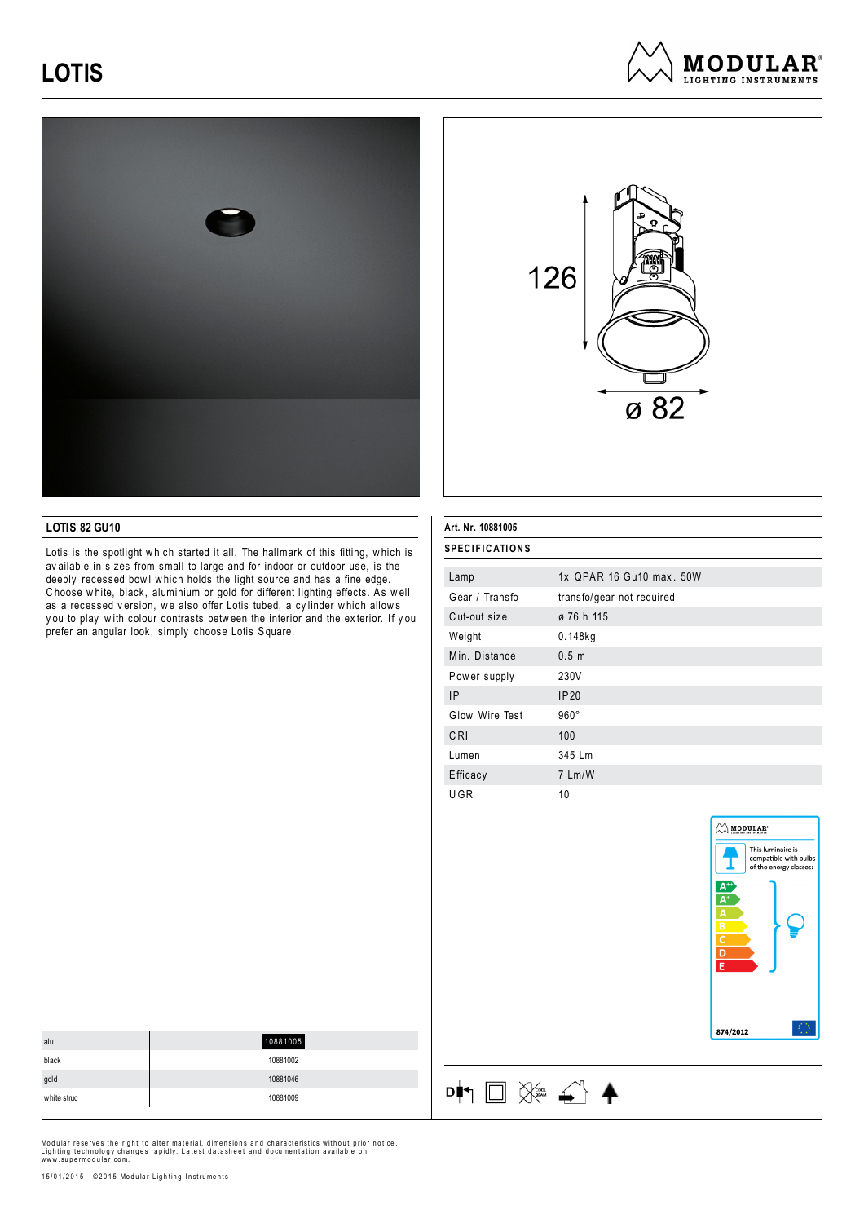





#### **LOTIS 82 GU10**

Lotis is the spotlight w hich started it all. The hallmark of this fitting, w hich is av ailable in sizes from small to large and for indoor or outdoor use, is the deeply recessed bowl which holds the light source and has a fine edge. C hoose w hite, black, aluminium or gold for different lighting effects. As w ell as a recessed version, we also offer Lotis tubed, a cylinder which allows y ou to play w ith colour contrasts betw een the interior and the ex terior. If y ou prefer an angular look, simply choose Lotis Square.

#### **Art. Nr. 10881005**

呻□ ※ △ ▲

| <b>SPECIFICATIONS</b> |                           |
|-----------------------|---------------------------|
|                       |                           |
| Lamp                  | 1x OPAR 16 Gu10 max, 50W  |
| Gear / Transfo        | transfo/gear not required |
| Cut-out size          | ø 76 h 115                |
| Weight                | $0.148$ kg                |
| Min. Distance         | 0.5 <sub>m</sub>          |
| Power supply          | 230V                      |
| <b>IP</b>             | IP20                      |
| Glow Wire Test        | $960^\circ$               |
| CRI                   | 100                       |
| Lumen                 | 345 Lm                    |
| Efficacy              | 7 Lm/W                    |
| UGR                   | 10                        |



| alu         | 10881005 |
|-------------|----------|
| black       | 10881002 |
| gold        | 10881046 |
| white struc | 10881009 |

Modular reserves the right to alter material, dimensions and characteristics without prior notice.<br>Lighting technology changes rapidly. Latest datasheet and documentation available on<br>www.supermodular.com.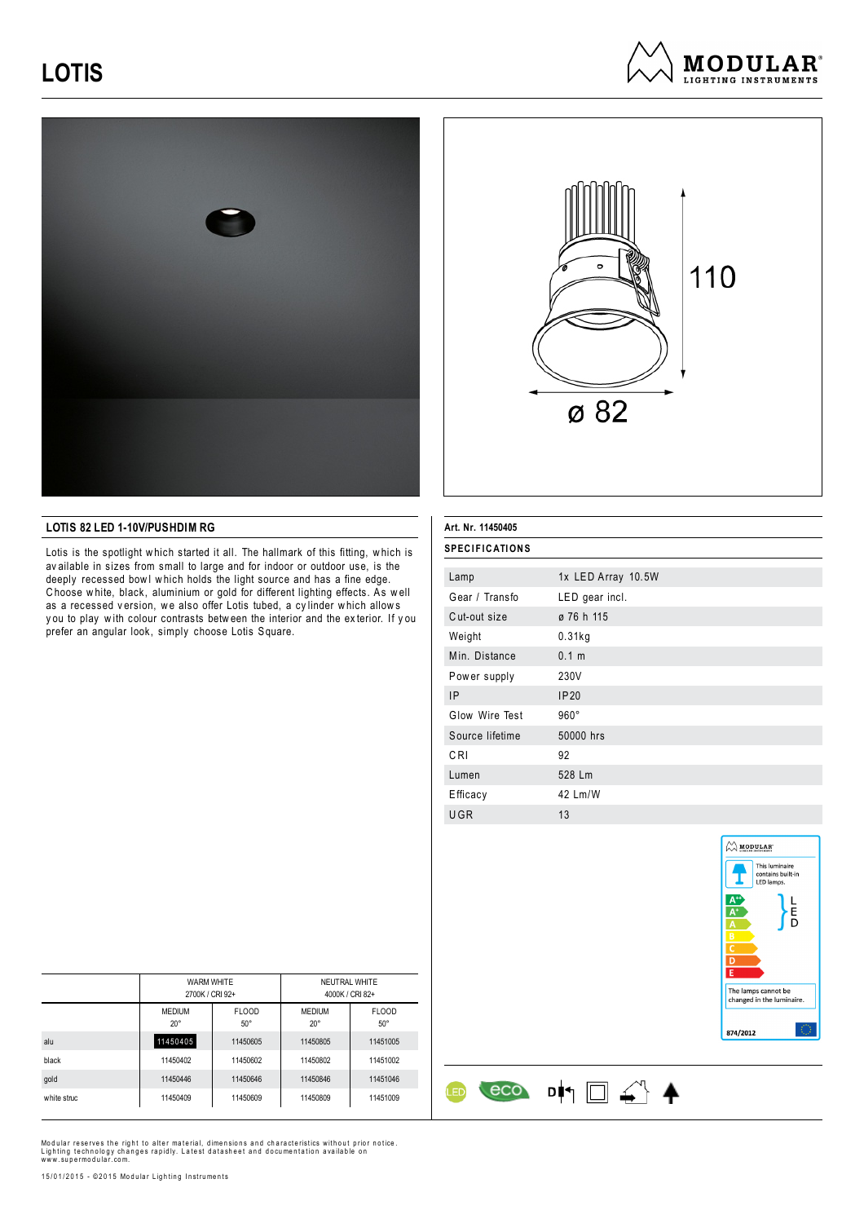





### **LOTIS 82 LED 1-10V/PUSHDIM RG**

Lotis is the spotlight w hich started it all. The hallmark of this fitting, w hich is av ailable in sizes from small to large and for indoor or outdoor use, is the deeply recessed bowl which holds the light source and has a fine edge. C hoose w hite, black, aluminium or gold for different lighting effects. As w ell as a recessed version, we also offer Lotis tubed, a cylinder which allows y ou to play w ith colour contrasts betw een the interior and the ex terior. If y ou prefer an angular look, simply choose Lotis Square.

## **Art. Nr. 11450405**

| <b>SPECIFICATIONS</b> |                    |
|-----------------------|--------------------|
|                       |                    |
| Lamp                  | 1x LED Array 10.5W |
| Gear / Transfo        | LED gear incl.     |
| Cut-out size          | ø 76 h 115         |
| Weight                | 0.31kg             |
| Min. Distance         | 0.1 m              |
| Power supply          | 230V               |
| IP                    | IP20               |
| Glow Wire Test        | $960^\circ$        |
| Source lifetime       | 50000 hrs          |
| C <sub>RI</sub>       | 92                 |
| Lumen                 | 528 Lm             |
| Efficacy              | 42 Lm/W            |
| UGR                   | 13                 |

 $\begin{array}{cc} \text{eco} & \text{d} & \text{d} & \text{d} \end{array}$ 

**LED** 



|             | <b>WARM WHITE</b><br>2700K / CRI 92+ |                              | NEUTRAL WHITE<br>4000K / CRI 82+ |                            |
|-------------|--------------------------------------|------------------------------|----------------------------------|----------------------------|
|             | <b>MEDIUM</b><br>$20^{\circ}$        | <b>FLOOD</b><br>$50^{\circ}$ | <b>MEDIUM</b><br>$20^{\circ}$    | <b>FLOOD</b><br>$50^\circ$ |
| alu         | 11450405                             | 11450605                     | 11450805                         | 11451005                   |
| black       | 11450402                             | 11450602                     | 11450802                         | 11451002                   |
| gold        | 11450446                             | 11450646                     | 11450846                         | 11451046                   |
| white struc | 11450409                             | 11450609                     | 11450809                         | 11451009                   |

Modular reserves the right to alter material, dimensions and characteristics without prior notice.<br>Lighting technology changes rapidly. Latest datasheet and documentation available on<br>www.supermodular.com.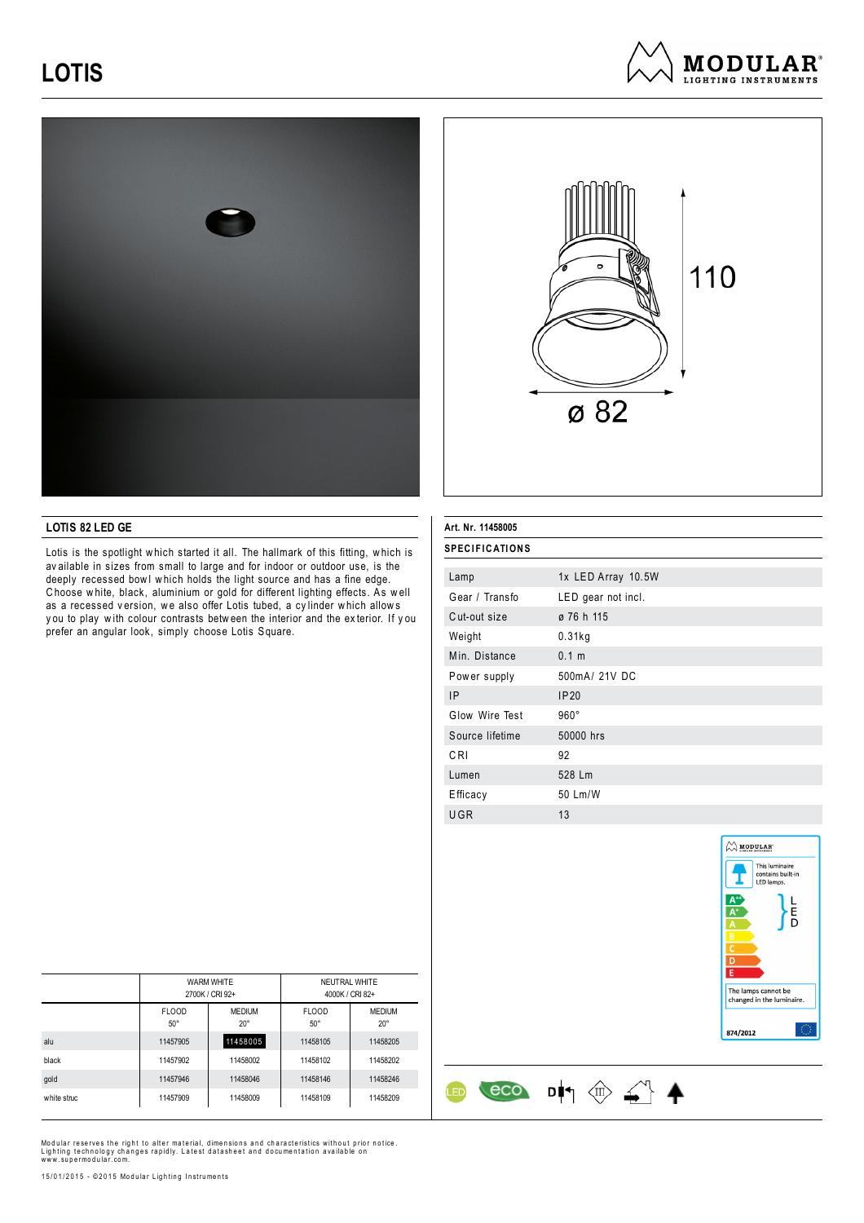





### **LOTIS 82 LED GE**

Lotis is the spotlight w hich started it all. The hallmark of this fitting, w hich is av ailable in sizes from small to large and for indoor or outdoor use, is the deeply recessed bowl which holds the light source and has a fine edge. C hoose w hite, black, aluminium or gold for different lighting effects. As w ell as a recessed version, we also offer Lotis tubed, a cylinder which allows y ou to play w ith colour contrasts betw een the interior and the ex terior. If y ou prefer an angular look, simply choose Lotis Square.

|  | Art. Nr. 11458005 |
|--|-------------------|

| <b>SPECIFICATIONS</b> |                    |
|-----------------------|--------------------|
|                       |                    |
| Lamp                  | 1x LED Array 10.5W |
| Gear / Transfo        | LED gear not incl. |
| Cut-out size          | ø 76 h 115         |
| Weight                | 0.31kg             |
| Min. Distance         | 0.1 <sub>m</sub>   |
| Power supply          | 500mA/ 21V DC      |
| IP                    | IP20               |
| Glow Wire Test        | $960^\circ$        |
| Source lifetime       | 50000 hrs          |
| CRI                   | 92                 |
| Lumen                 | 528 Lm             |
| Efficacy              | 50 Lm/W            |
| UGR                   | 13                 |

 $\circ \circ$  DI  $\circ \circ$   $\circ$ 

**LED** 



|             | <b>WARM WHITE</b><br>2700K / CRI 92+ |                               | NEUTRAL WHITE<br>4000K / CRI 82+ |                               |
|-------------|--------------------------------------|-------------------------------|----------------------------------|-------------------------------|
|             | <b>FLOOD</b><br>$50^\circ$           | <b>MEDIUM</b><br>$20^{\circ}$ | <b>FLOOD</b><br>$50^\circ$       | <b>MEDIUM</b><br>$20^{\circ}$ |
| alu         | 11457905                             | 11458005                      | 11458105                         | 11458205                      |
| black       | 11457902                             | 11458002                      | 11458102                         | 11458202                      |
| gold        | 11457946                             | 11458046                      | 11458146                         | 11458246                      |
| white struc | 11457909                             | 11458009                      | 11458109                         | 11458209                      |

Modular reserves the right to alter material, dimensions and characteristics without prior notice.<br>Lighting technology changes rapidly. Latest datasheet and documentation available on<br>www.supermodular.com.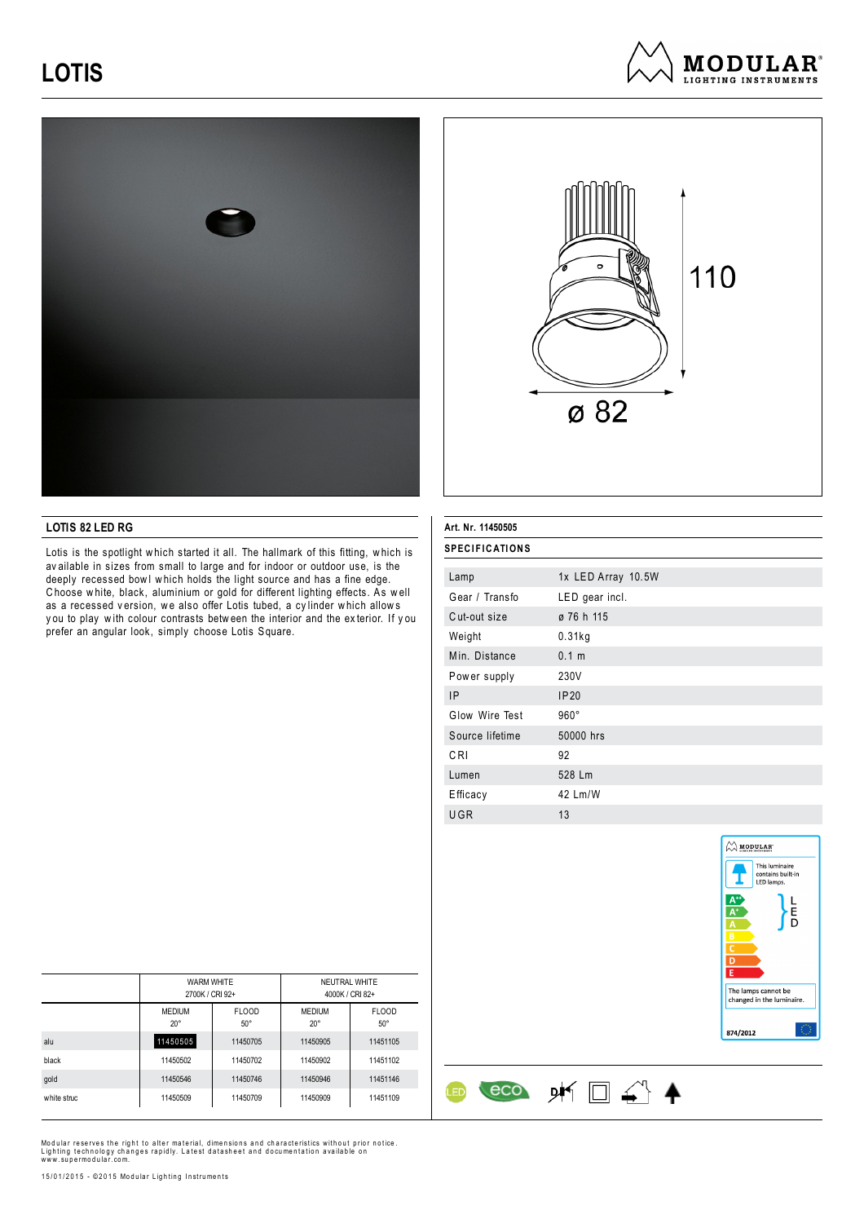





### **LOTIS 82 LED RG**

Lotis is the spotlight w hich started it all. The hallmark of this fitting, w hich is av ailable in sizes from small to large and for indoor or outdoor use, is the deeply recessed bowl which holds the light source and has a fine edge. C hoose w hite, black, aluminium or gold for different lighting effects. As w ell as a recessed version, we also offer Lotis tubed, a cylinder which allows y ou to play w ith colour contrasts betw een the interior and the ex terior. If y ou prefer an angular look, simply choose Lotis Square.

### **Art. Nr. 11450505**

| <b>SPECIFICATIONS</b> |                    |  |
|-----------------------|--------------------|--|
| Lamp                  | 1x LED Array 10.5W |  |
| Gear / Transfo        | LED gear incl.     |  |
| Cut-out size          | ø 76 h 115         |  |
| Weight                | 0.31kg             |  |
| Min. Distance         | 0.1 m              |  |
| Power supply          | 230V               |  |
| <b>IP</b>             | IP20               |  |
| Glow Wire Test        | $960^\circ$        |  |
| Source lifetime       | 50000 hrs          |  |
| CRI                   | 92                 |  |
| Lumen                 | 528 Lm             |  |
| Efficacy              | 42 Lm/W            |  |
| UGR                   | 13                 |  |

eco DK □ △ 4

ŒD



|             | <b>WARM WHITE</b><br>2700K / CRI 92+ |                            | NEUTRAL WHITE<br>4000K / CRI 82+ |                            |
|-------------|--------------------------------------|----------------------------|----------------------------------|----------------------------|
|             | <b>MEDIUM</b><br>$20^{\circ}$        | <b>FLOOD</b><br>$50^\circ$ | <b>MEDIUM</b><br>$20^{\circ}$    | <b>FLOOD</b><br>$50^\circ$ |
| alu         | 11450505                             | 11450705                   | 11450905                         | 11451105                   |
| black       | 11450502                             | 11450702                   | 11450902                         | 11451102                   |
| gold        | 11450546                             | 11450746                   | 11450946                         | 11451146                   |
| white struc | 11450509                             | 11450709                   | 11450909                         | 11451109                   |

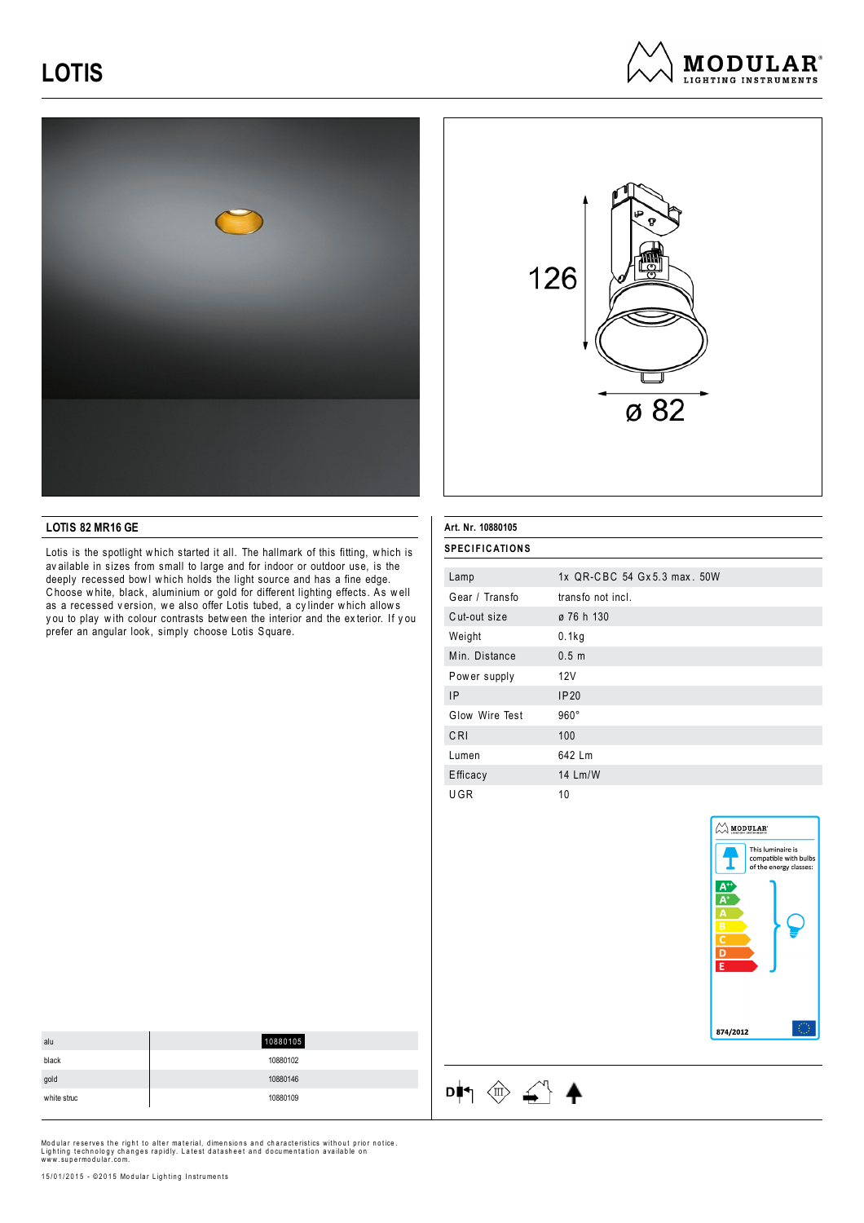





### **LOTIS 82 MR16 GE**

Lotis is the spotlight w hich started it all. The hallmark of this fitting, w hich is av ailable in sizes from small to large and for indoor or outdoor use, is the deeply recessed bowl which holds the light source and has a fine edge. C hoose w hite, black, aluminium or gold for different lighting effects. As w ell as a recessed version, we also offer Lotis tubed, a cylinder which allows y ou to play w ith colour contrasts betw een the interior and the ex terior. If y ou prefer an angular look, simply choose Lotis Square.

#### **Art. Nr. 10880105**

 $\begin{picture}(150,10) \put(0,0){\line(1,0){10}} \put(15,0){\line(1,0){10}} \put(15,0){\line(1,0){10}} \put(15,0){\line(1,0){10}} \put(15,0){\line(1,0){10}} \put(15,0){\line(1,0){10}} \put(15,0){\line(1,0){10}} \put(15,0){\line(1,0){10}} \put(15,0){\line(1,0){10}} \put(15,0){\line(1,0){10}} \put(15,0){\line(1,0){10}} \put(15,0){\line($ 

| <b>SPECIFICATIONS</b> |                             |
|-----------------------|-----------------------------|
| Lamp                  | 1x QR-CBC 54 Gx5.3 max. 50W |
| Gear / Transfo        | transfo not incl.           |
| Cut-out size          | ø 76 h 130                  |
| Weight                | 0.1kg                       |
| Min. Distance         | 0.5 <sub>m</sub>            |
| Power supply          | 12V                         |
| <b>IP</b>             | IP20                        |
| Glow Wire Test        | $960^\circ$                 |
| CRI                   | 100                         |
| Lumen                 | 642 Lm                      |
| Efficacy              | 14 Lm/W                     |
| UGR                   | 10                          |



| alu         | 10880105 |
|-------------|----------|
| black       | 10880102 |
| gold        | 10880146 |
| white struc | 10880109 |
|             |          |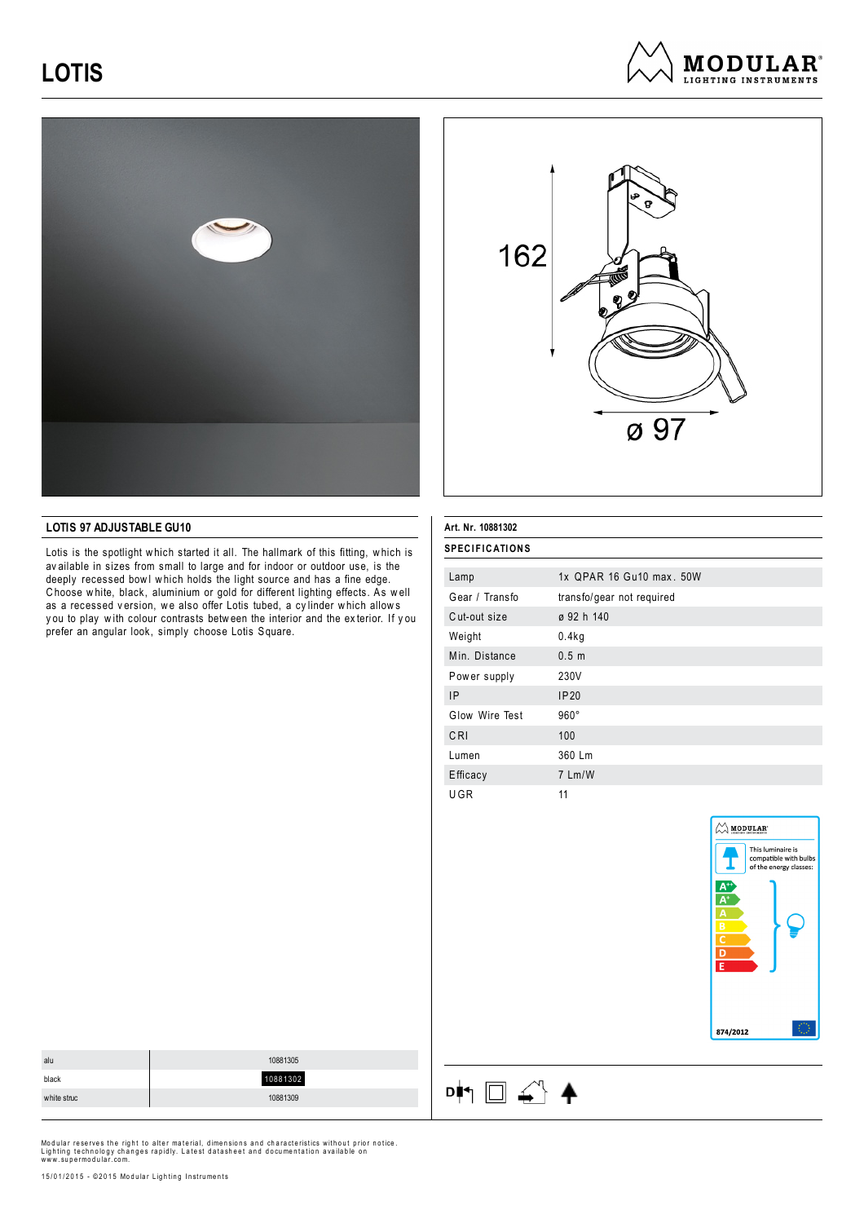





### **LOTIS 97 ADJUSTABLE GU10**

Lotis is the spotlight w hich started it all. The hallmark of this fitting, w hich is av ailable in sizes from small to large and for indoor or outdoor use, is the deeply recessed bowl which holds the light source and has a fine edge. C hoose w hite, black, aluminium or gold for different lighting effects. As w ell as a recessed version, we also offer Lotis tubed, a cylinder which allows y ou to play w ith colour contrasts betw een the interior and the ex terior. If y ou prefer an angular look, simply choose Lotis Square.

### **Art. Nr. 10881302**

 $\begin{picture}(150,10) \put(0,0){\line(1,0){10}} \put(15,0){\line(1,0){10}} \put(15,0){\line(1,0){10}} \put(15,0){\line(1,0){10}} \put(15,0){\line(1,0){10}} \put(15,0){\line(1,0){10}} \put(15,0){\line(1,0){10}} \put(15,0){\line(1,0){10}} \put(15,0){\line(1,0){10}} \put(15,0){\line(1,0){10}} \put(15,0){\line(1,0){10}} \put(15,0){\line($ 

| <b>SPECIFICATIONS</b> |                           |
|-----------------------|---------------------------|
| Lamp                  | 1x QPAR 16 Gu10 max, 50W  |
| Gear / Transfo        | transfo/gear not required |
| Cut-out size          | ø 92 h 140                |
| Weight                | 0.4kg                     |
| Min. Distance         | 0.5 <sub>m</sub>          |
| Power supply          | 230V                      |
| <b>IP</b>             | IP20                      |
| Glow Wire Test        | $960^\circ$               |
| CRI                   | 100                       |
| Lumen                 | 360 Lm                    |
| Efficacy              | 7 Lm/W                    |
| UGR                   | 11                        |



| alu         | 10881305 |
|-------------|----------|
| black       | 10881302 |
| white struc | 10881309 |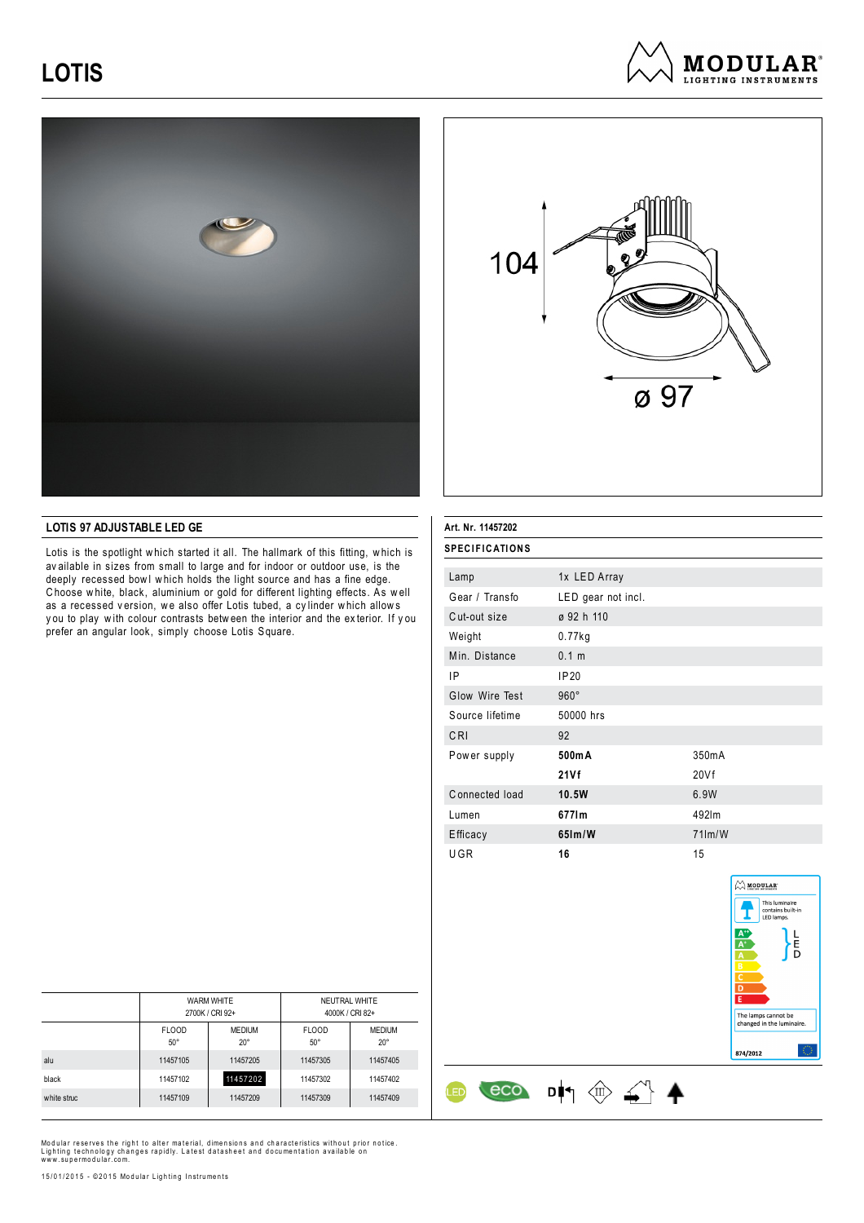





### **LOTIS 97 ADJUSTABLE LED GE**

Lotis is the spotlight w hich started it all. The hallmark of this fitting, w hich is av ailable in sizes from small to large and for indoor or outdoor use, is the deeply recessed bowl which holds the light source and has a fine edge. C hoose w hite, black, aluminium or gold for different lighting effects. As w ell as a recessed version, we also offer Lotis tubed, a cylinder which allows y ou to play w ith colour contrasts betw een the interior and the ex terior. If y ou prefer an angular look, simply choose Lotis Square.

| Art. Nr. 11457202     |                    |                    |
|-----------------------|--------------------|--------------------|
| <b>SPECIFICATIONS</b> |                    |                    |
| Lamp                  | 1x LED Array       |                    |
| Gear / Transfo        | LED gear not incl. |                    |
| Cut-out size          | ø 92 h 110         |                    |
| Weight                | $0.77$ kg          |                    |
| Min. Distance         | 0.1 m              |                    |
| IP                    | IP20               |                    |
| Glow Wire Test        | $960^\circ$        |                    |
| Source lifetime       | 50000 hrs          |                    |
| CRI                   | 92                 |                    |
| Power supply          | 500mA              | 350 <sub>m</sub> A |
|                       | 21Vf               | 20Vf               |
| Connected load        | 10.5W              | 6.9W               |
| Lumen                 | 6771m              | 492lm              |
| Efficacy              | $65$ Im/W          | $71$ m/W           |
| UGR                   | 16                 | 15                 |



<u>(ED</u>

|             | <b>WARM WHITE</b><br>2700K / CRI 92+ |                               | NEUTRAL WHITE              | 4000K / CRI 82+             |
|-------------|--------------------------------------|-------------------------------|----------------------------|-----------------------------|
|             | <b>FLOOD</b><br>$50^{\circ}$         | <b>MEDIUM</b><br>$20^{\circ}$ | <b>FLOOD</b><br>$50^\circ$ | <b>MEDIUM</b><br>$20^\circ$ |
| alu         | 11457105                             | 11457205                      | 11457305                   | 11457405                    |
| black       | 11457102                             | 11457202                      | 11457302                   | 11457402                    |
| white struc | 11457109                             | 11457209                      | 11457309                   | 11457409                    |

Modular reserves the right to alter material, dimensions and characteristics without prior notice.<br>Lighting technology changes rapidly. Latest datasheet and documentation available on<br>www.supermodular.com.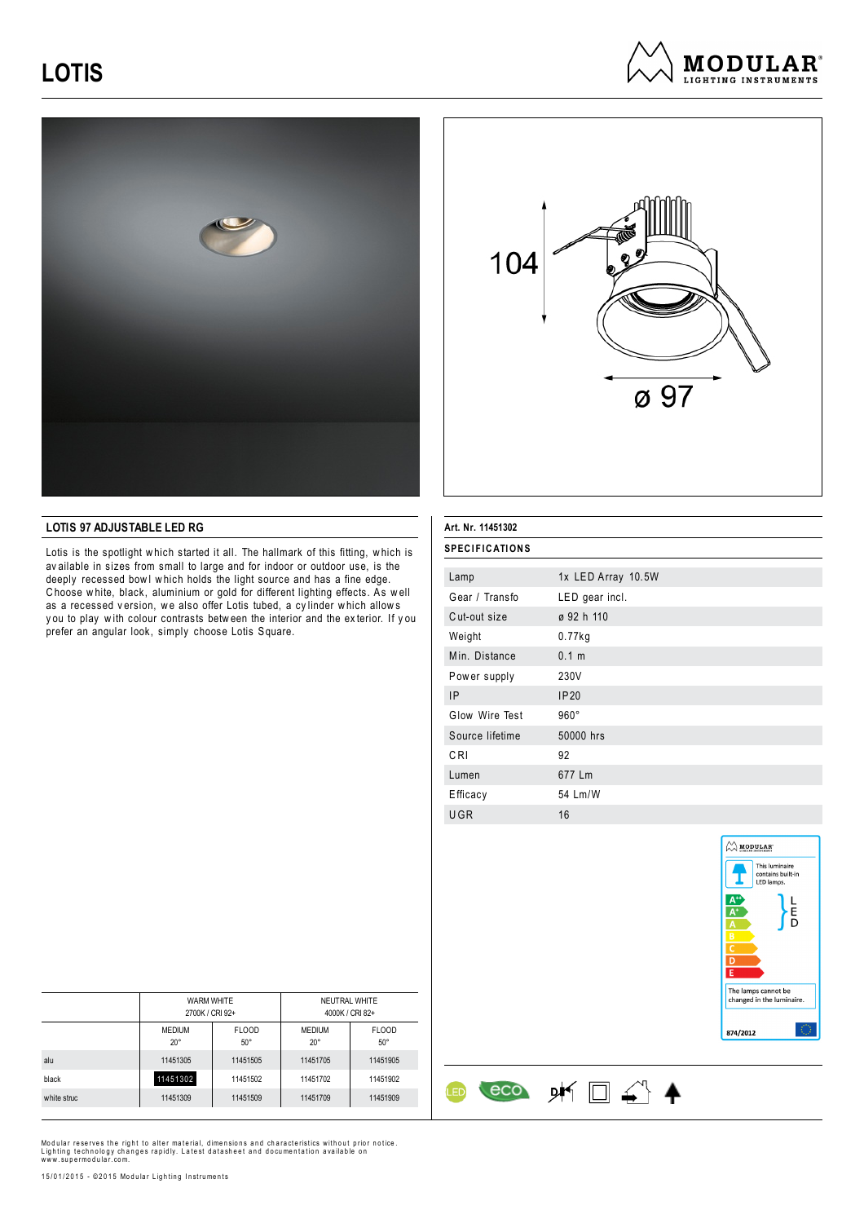





### **LOTIS 97 ADJUSTABLE LED RG**

Lotis is the spotlight w hich started it all. The hallmark of this fitting, w hich is av ailable in sizes from small to large and for indoor or outdoor use, is the deeply recessed bowl which holds the light source and has a fine edge. C hoose w hite, black, aluminium or gold for different lighting effects. As w ell as a recessed version, we also offer Lotis tubed, a cylinder which allows y ou to play w ith colour contrasts betw een the interior and the ex terior. If y ou prefer an angular look, simply choose Lotis Square.

| <b>SPECIFICATIONS</b> |                    |
|-----------------------|--------------------|
| Lamp                  | 1x LED Array 10.5W |
| Gear / Transfo        | LED gear incl.     |
| Cut-out size          | ø 92 h 110         |
| Weight                | $0.77$ kg          |
| Min. Distance         | 0.1 m              |
| Power supply          | 230V               |
| IP                    | <b>IP20</b>        |
| Glow Wire Test        | $960^\circ$        |
| Source lifetime       | 50000 hrs          |
| CRI                   | 92                 |
| Lumen                 | 677 Lm             |
| Efficacy              | 54 Lm/W            |
| UGR                   | 16                 |

 $\leftarrow$  eco  $\mathsf{p}\mathsf{m} \square \triangleleft \mathsf{A}$ 

ŒD

**Art. Nr. 11451302**



|             | <b>WARM WHITE</b><br>2700K / CRI 92+ |                            | NEUTRAL WHITE<br>4000K / CRI 82+ |                            |
|-------------|--------------------------------------|----------------------------|----------------------------------|----------------------------|
|             | <b>MEDIUM</b><br>$20^{\circ}$        | <b>FLOOD</b><br>$50^\circ$ | <b>MEDIUM</b><br>$20^{\circ}$    | <b>FLOOD</b><br>$50^\circ$ |
| alu         | 11451305                             | 11451505                   | 11451705                         | 11451905                   |
| black       | 11451302                             | 11451502                   | 11451702                         | 11451902                   |
| white struc | 11451309                             | 11451509                   | 11451709                         | 11451909                   |

Modular reserves the right to alter material, dimensions and characteristics without prior notice.<br>Lighting technology changes rapidly. Latest datasheet and documentation available on<br>www.supermodular.com.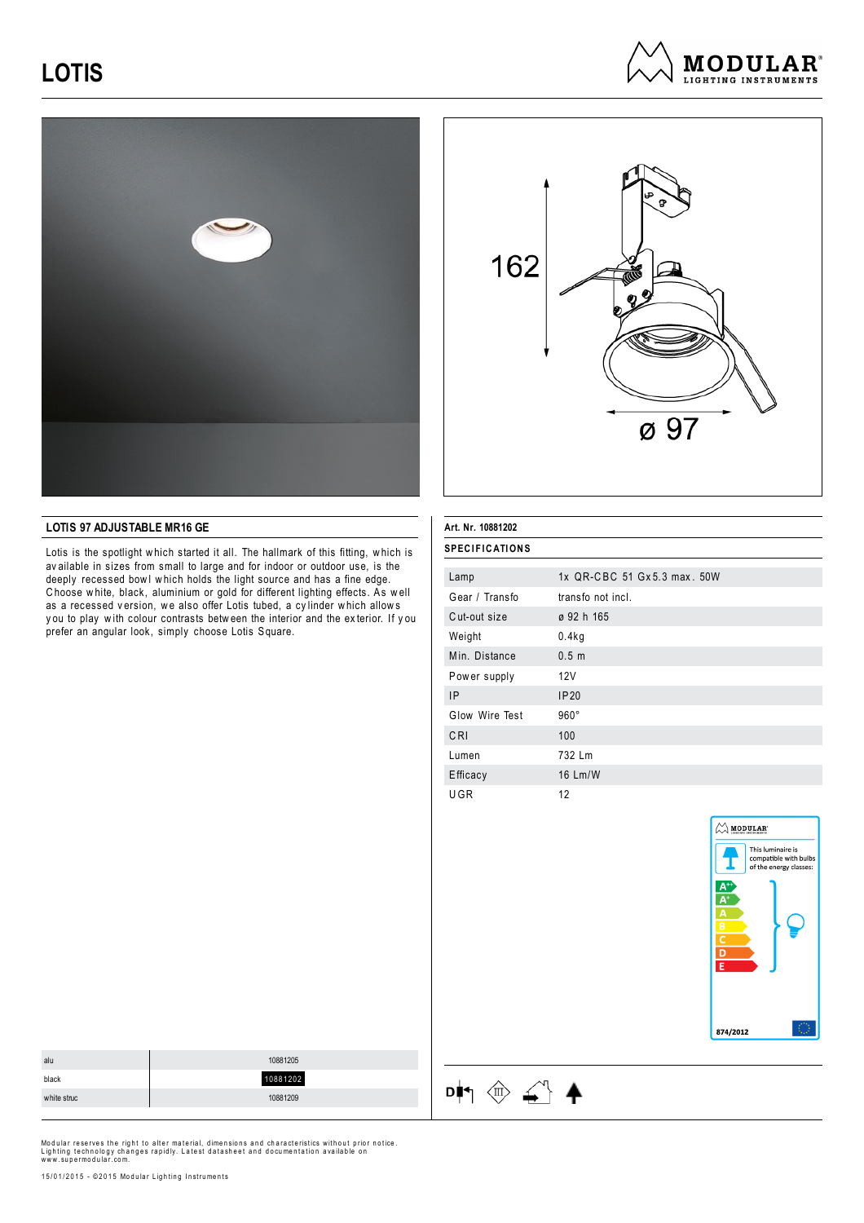





### **LOTIS 97 ADJUSTABLE MR16 GE**

Lotis is the spotlight w hich started it all. The hallmark of this fitting, w hich is av ailable in sizes from small to large and for indoor or outdoor use, is the deeply recessed bowl which holds the light source and has a fine edge. C hoose w hite, black, aluminium or gold for different lighting effects. As w ell as a recessed version, we also offer Lotis tubed, a cylinder which allows y ou to play w ith colour contrasts betw een the interior and the ex terior. If y ou prefer an angular look, simply choose Lotis Square.

| Art. Nr. 10881202     |                             |
|-----------------------|-----------------------------|
| <b>SPECIFICATIONS</b> |                             |
| Lamp                  | 1x QR-CBC 51 Gx5.3 max. 50W |
| Gear / Transfo        | transfo not incl.           |
| Cut-out size          | ø 92 h 165                  |
| Weight                | 0.4kg                       |
| Min. Distance         | 0.5 <sub>m</sub>            |
| Power supply          | 12V                         |
| IP                    | IP20                        |
| Glow Wire Test        | $960^\circ$                 |
| CRI                   | 100                         |
| Lumen                 | 732 Lm                      |
| Efficacy              | 16 Lm/W                     |
| UGR                   | 12                          |



| alu         | 10881205 |
|-------------|----------|
| black       | 10881202 |
| white struc | 10881209 |
|             |          |

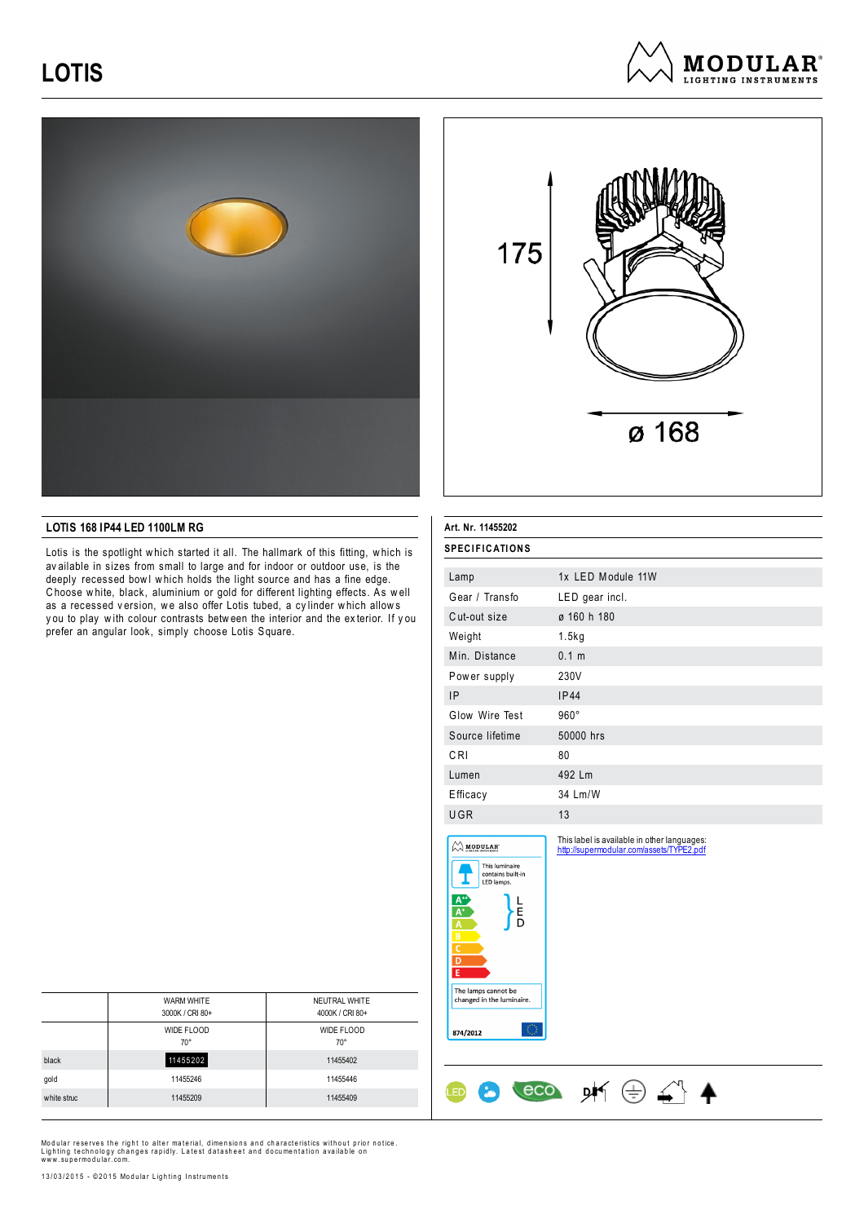





### **LOTIS 168 IP44 LED 1100LM RG**

Lotis is the spotlight w hich started it all. The hallmark of this fitting, w hich is av ailable in sizes from small to large and for indoor or outdoor use, is the deeply recessed bowl which holds the light source and has a fine edge. C hoose w hite, black, aluminium or gold for different lighting effects. As w ell as a recessed version, we also offer Lotis tubed, a cylinder which allows y ou to play w ith colour contrasts betw een the interior and the ex terior. If y ou prefer an angular look, simply choose Lotis Square.

| Art. Nr. 11455202                                                                                                                                                                                               |                                                                                         |
|-----------------------------------------------------------------------------------------------------------------------------------------------------------------------------------------------------------------|-----------------------------------------------------------------------------------------|
| <b>SPECIFICATIONS</b>                                                                                                                                                                                           |                                                                                         |
| Lamp                                                                                                                                                                                                            | 1x LED Module 11W                                                                       |
| Gear / Transfo                                                                                                                                                                                                  | LED gear incl.                                                                          |
| Cut-out size                                                                                                                                                                                                    | ø 160 h 180                                                                             |
| Weight                                                                                                                                                                                                          | 1.5kg                                                                                   |
| Min. Distance                                                                                                                                                                                                   | 0.1 m                                                                                   |
| Power supply                                                                                                                                                                                                    | 230V                                                                                    |
| IP                                                                                                                                                                                                              | IP44                                                                                    |
| Glow Wire Test                                                                                                                                                                                                  | $960^\circ$                                                                             |
| Source lifetime                                                                                                                                                                                                 | 50000 hrs                                                                               |
| CRI                                                                                                                                                                                                             | 80                                                                                      |
| Lumen                                                                                                                                                                                                           | 492 Lm                                                                                  |
| Efficacy                                                                                                                                                                                                        | 34 Lm/W                                                                                 |
| UGR                                                                                                                                                                                                             | 13                                                                                      |
| $\bigotimes$ MODULAR<br>This luminaire<br>contains built-in<br>LED lamps.<br>E<br>Đ<br>B<br>$\overline{\mathsf{c}}$<br>$\overline{D}$<br>E<br>The lamps cannot be<br>changed in the luminaire.<br>O<br>874/2012 | This label is available in other languages:<br>http://supermodular.com/assets/TYPE2.pdf |
| eco                                                                                                                                                                                                             |                                                                                         |

|             | <b>WARM WHITE</b> | NEUTRAL WHITE   |
|-------------|-------------------|-----------------|
|             | 3000K / CRI 80+   | 4000K / CRI 80+ |
|             | WIDE FLOOD        | WIDE FLOOD      |
|             | $70^{\circ}$      | $70^{\circ}$    |
| black       | 11455202          | 11455402        |
| gold        | 11455246          | 11455446        |
| white struc | 11455209          | 11455409        |

Modular reserves the right to alter material, dimensions and characteristics without prior notice.<br>Lighting technology changes rapidly. Latest datasheet and documentation available on<br>www.supermodular.com.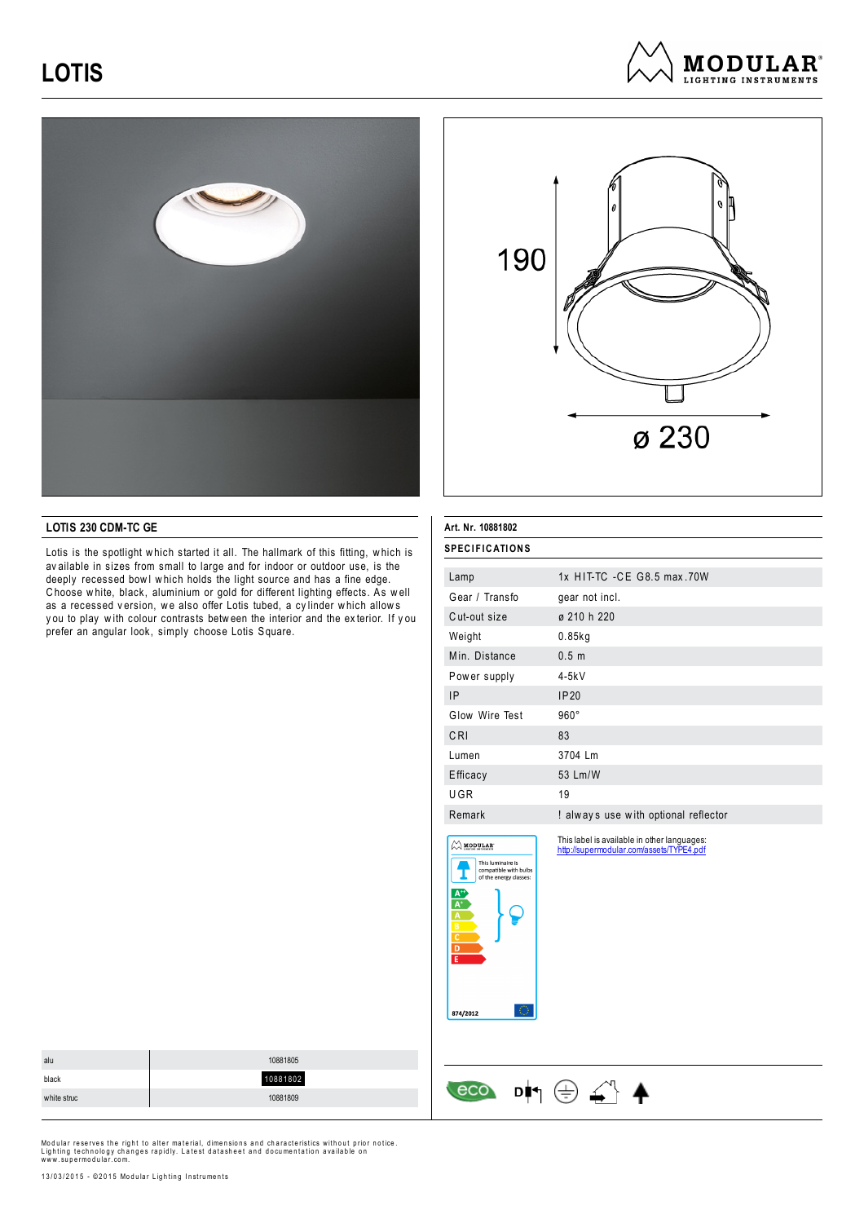





### **LOTIS 230 CDM-TC GE**

Lotis is the spotlight w hich started it all. The hallmark of this fitting, w hich is av ailable in sizes from small to large and for indoor or outdoor use, is the deeply recessed bowl which holds the light source and has a fine edge. C hoose w hite, black, aluminium or gold for different lighting effects. As w ell as a recessed version, we also offer Lotis tubed, a cylinder which allows y ou to play w ith colour contrasts betw een the interior and the ex terior. If y ou prefer an angular look, simply choose Lotis Square.

| Art. Nr. 10881802                                                                                                                                                                        |                                                                                         |
|------------------------------------------------------------------------------------------------------------------------------------------------------------------------------------------|-----------------------------------------------------------------------------------------|
| <b>SPECIFICATIONS</b>                                                                                                                                                                    |                                                                                         |
| Lamp                                                                                                                                                                                     | 1x HIT-TC - CE G8.5 max.70W                                                             |
| Gear / Transfo                                                                                                                                                                           | gear not incl.                                                                          |
| Cut-out size                                                                                                                                                                             | ø 210 h 220                                                                             |
| Weight                                                                                                                                                                                   | $0.85$ kg                                                                               |
| Min. Distance                                                                                                                                                                            | 0.5 m                                                                                   |
| Power supply                                                                                                                                                                             | $4-5kV$                                                                                 |
| <b>IP</b>                                                                                                                                                                                | IP20                                                                                    |
| Glow Wire Test                                                                                                                                                                           | $960^\circ$                                                                             |
| CRI                                                                                                                                                                                      | 83                                                                                      |
| Lumen                                                                                                                                                                                    | 3704 Lm                                                                                 |
| Efficacy                                                                                                                                                                                 | 53 Lm/W                                                                                 |
| UGR                                                                                                                                                                                      | 19                                                                                      |
| Remark                                                                                                                                                                                   | ! always use with optional reflector                                                    |
| $\bigcirc$ modular<br>This luminaire is<br>compatible with bulbs<br>of the energy classes:<br>Ä<br>$\overline{\mathsf{B}}$<br>$\overline{\mathsf{c}}$<br>$\overline{D}$<br>Ē<br>874/2012 | This label is available in other languages:<br>http://supermodular.com/assets/TYPE4.pdf |

 $\cos$   $\cos$   $\frac{1}{2}$ 

| alu         | 10881805 |
|-------------|----------|
| black       | 10881802 |
| white struc | 10881809 |